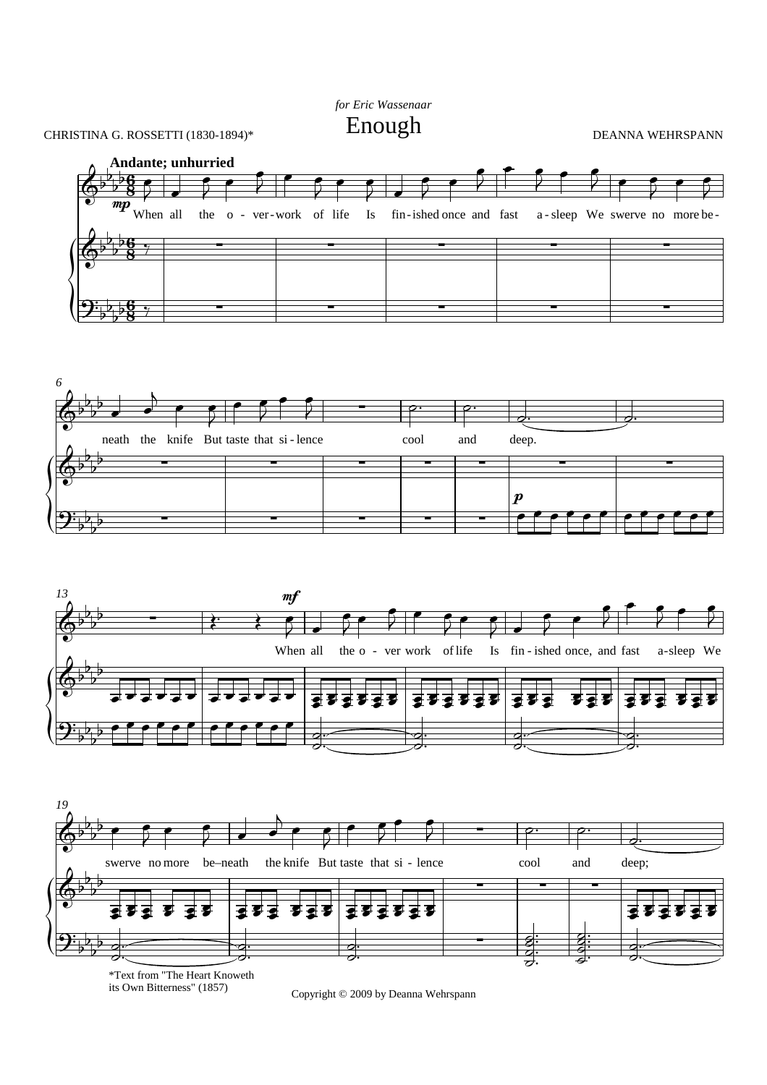## Enough DEANNA WEHRSPANN *for Eric Wassenaar*

## CHRISTINA G. ROSSETTI (1830-1894)\*









its Own Bitterness" (1857)

Copyright © 2009 by Deanna Wehrspann